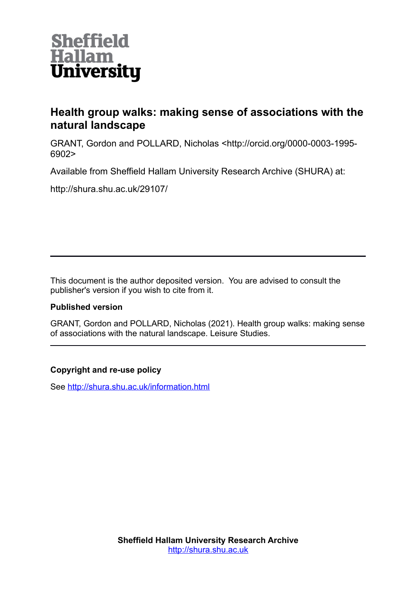

# **Health group walks: making sense of associations with the natural landscape**

GRANT, Gordon and POLLARD, Nicholas <http://orcid.org/0000-0003-1995- 6902>

Available from Sheffield Hallam University Research Archive (SHURA) at:

http://shura.shu.ac.uk/29107/

This document is the author deposited version. You are advised to consult the publisher's version if you wish to cite from it.

## **Published version**

GRANT, Gordon and POLLARD, Nicholas (2021). Health group walks: making sense of associations with the natural landscape. Leisure Studies.

## **Copyright and re-use policy**

See<http://shura.shu.ac.uk/information.html>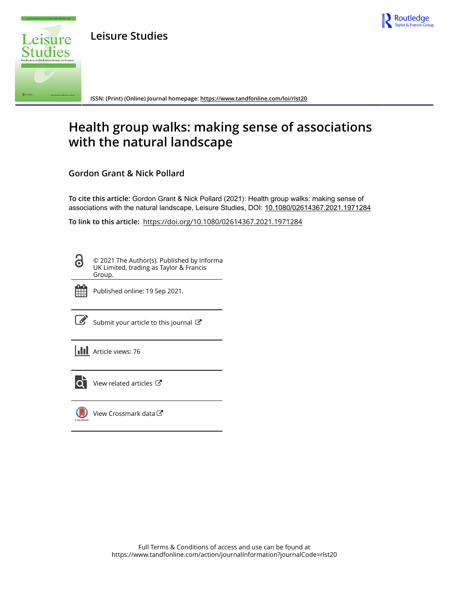

**Leisure Studies**



**ISSN: (Print) (Online) Journal homepage:<https://www.tandfonline.com/loi/rlst20>**

# **Health group walks: making sense of associations with the natural landscape**

**Gordon Grant & Nick Pollard**

**To cite this article:** Gordon Grant & Nick Pollard (2021): Health group walks: making sense of associations with the natural landscape, Leisure Studies, DOI: [10.1080/02614367.2021.1971284](https://www.tandfonline.com/action/showCitFormats?doi=10.1080/02614367.2021.1971284)

**To link to this article:** <https://doi.org/10.1080/02614367.2021.1971284>

© 2021 The Author(s). Published by Informa UK Limited, trading as Taylor & Francis Group.



Published online: 19 Sep 2021.

 $\overrightarrow{S}$  [Submit your article to this journal](https://www.tandfonline.com/action/authorSubmission?journalCode=rlst20&show=instructions)  $\overrightarrow{S}$ 

| <b>III</b> Article views: 76 |
|------------------------------|
|------------------------------|



 $\overrightarrow{Q}$  [View related articles](https://www.tandfonline.com/doi/mlt/10.1080/02614367.2021.1971284)  $\overrightarrow{C}$ 



[View Crossmark data](http://crossmark.crossref.org/dialog/?doi=10.1080/02614367.2021.1971284&domain=pdf&date_stamp=2021-09-19)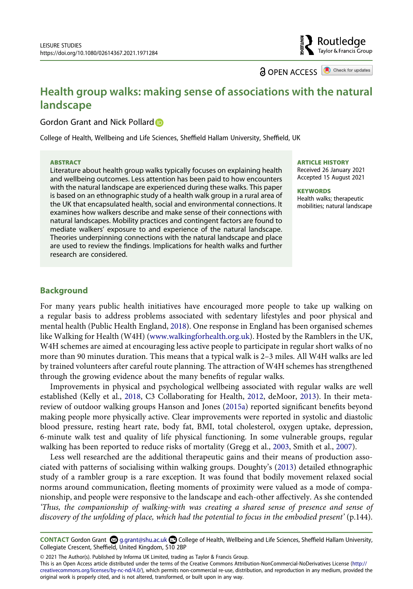**a** OPEN ACCESS **a** Check for updates

Routledge Taylor & Francis Group

# **Health group walks: making sense of associations with the natural landscape**

Gor[d](http://orcid.org/0000-0003-1995-6902)on Grant and Nick Pollard **D** 

College of Health, Wellbeing and Life Sciences, Sheffield Hallam University, Sheffield, UK

#### **ABSTRACT**

Literature about health group walks typically focuses on explaining health and wellbeing outcomes. Less attention has been paid to how encounters with the natural landscape are experienced during these walks. This paper is based on an ethnographic study of a health walk group in a rural area of the UK that encapsulated health, social and environmental connections. It examines how walkers describe and make sense of their connections with natural landscapes. Mobility practices and contingent factors are found to mediate walkers' exposure to and experience of the natural landscape. Theories underpinning connections with the natural landscape and place are used to review the findings. Implications for health walks and further research are considered.

#### **ARTICLE HISTORY**

Received 26 January 2021 Accepted 15 August 2021

#### **KEYWORDS**

Health walks; therapeutic mobilities; natural landscape

#### **Background**

<span id="page-2-4"></span>For many years public health initiatives have encouraged more people to take up walking on a regular basis to address problems associated with sedentary lifestyles and poor physical and mental health (Public Health England, [2018\)](#page-15-0). One response in England has been organised schemes like Walking for Health (W4H) ([www.walkingforhealth.org.uk](http://www.walkingforhealth.org.uk)). Hosted by the Ramblers in the UK, W4H schemes are aimed at encouraging less active people to participate in regular short walks of no more than 90 minutes duration. This means that a typical walk is 2–3 miles. All W4H walks are led by trained volunteers after careful route planning. The attraction of W4H schemes has strengthened through the growing evidence about the many benefits of regular walks.

<span id="page-2-3"></span><span id="page-2-0"></span>Improvements in physical and psychological wellbeing associated with regular walks are well established (Kelly et al., [2018](#page-15-1), C3 Collaborating for Health, [2012,](#page-14-0) deMoor, [2013\)](#page-14-1). In their metareview of outdoor walking groups Hanson and Jones ([2015a](#page-15-2)) reported significant benefits beyond making people more physically active. Clear improvements were reported in systolic and diastolic blood pressure, resting heart rate, body fat, BMI, total cholesterol, oxygen uptake, depression, 6-minute walk test and quality of life physical functioning. In some vulnerable groups, regular walking has been reported to reduce risks of mortality (Gregg et al., [2003](#page-15-3), Smith et al., [2007\)](#page-15-4).

<span id="page-2-2"></span><span id="page-2-1"></span>Less well researched are the additional therapeutic gains and their means of production associated with patterns of socialising within walking groups. Doughty's [\(2013\)](#page-14-2) detailed ethnographic study of a rambler group is a rare exception. It was found that bodily movement relaxed social norms around communication, fleeting moments of proximity were valued as a mode of companionship, and people were responsive to the landscape and each-other affectively. As she contended *'Thus, the companionship of walking-with was creating a shared sense of presence and sense of discovery of the unfolding of place, which had the potential to focus in the embodied present'* (p.144).

CONTACT Gordon Grant **۞** g.grant@shu.ac.uk **□** College of Health, Wellbeing and Life Sciences, Sheffield Hallam University, Collegiate Crescent, Sheffield, United Kingdom, S10 2BP

© 2021 The Author(s). Published by Informa UK Limited, trading as Taylor & Francis Group.

This is an Open Access article distributed under the terms of the Creative Commons Attribution-NonCommercial-NoDerivatives License (http:// creativecommons.org/licenses/by-nc-nd/4.0/), which permits non-commercial re-use, distribution, and reproduction in any medium, provided the original work is properly cited, and is not altered, transformed, or built upon in any way.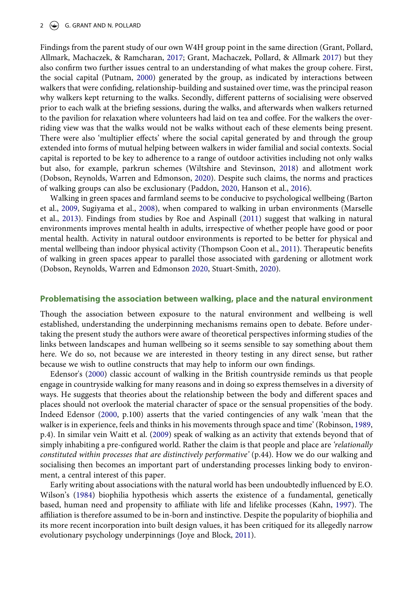#### 2  $\left(\rightarrow\right)$  G. GRANT AND N. POLLARD

<span id="page-3-8"></span><span id="page-3-3"></span>Findings from the parent study of our own W4H group point in the same direction (Grant, Pollard, Allmark, Machaczek, & Ramcharan, [2017;](#page-14-3) Grant, Machaczek, Pollard, & Allmark [2017\)](#page-14-4) but they also confirm two further issues central to an understanding of what makes the group cohere. First, the social capital (Putnam, [2000](#page-15-5)) generated by the group, as indicated by interactions between walkers that were confiding, relationship-building and sustained over time, was the principal reason why walkers kept returning to the walks. Secondly, different patterns of socialising were observed prior to each walk at the briefing sessions, during the walks, and afterwards when walkers returned to the pavilion for relaxation where volunteers had laid on tea and coffee. For the walkers the overriding view was that the walks would not be walks without each of these elements being present. There were also 'multiplier effects' where the social capital generated by and through the group extended into forms of mutual helping between walkers in wider familial and social contexts. Social capital is reported to be key to adherence to a range of outdoor activities including not only walks but also, for example, parkrun schemes (Wiltshire and Stevinson, [2018](#page-16-0)) and allotment work (Dobson, Reynolds, Warren and Edmonson, [2020\)](#page-14-5). Despite such claims, the norms and practices of walking groups can also be exclusionary (Paddon, [2020,](#page-15-6) Hanson et al., [2016\)](#page-15-7).

<span id="page-3-13"></span><span id="page-3-10"></span><span id="page-3-7"></span><span id="page-3-4"></span><span id="page-3-0"></span>Walking in green spaces and farmland seems to be conducive to psychological wellbeing (Barton et al., [2009,](#page-14-6) Sugiyama et al., [2008](#page-15-8)), when compared to walking in urban environments (Marselle et al., [2013\)](#page-15-9). Findings from studies by Roe and Aspinall ([2011](#page-15-10)) suggest that walking in natural environments improves mental health in adults, irrespective of whether people have good or poor mental health. Activity in natural outdoor environments is reported to be better for physical and mental wellbeing than indoor physical activity (Thompson Coon et al., [2011\)](#page-16-1). Therapeutic benefits of walking in green spaces appear to parallel those associated with gardening or allotment work (Dobson, Reynolds, Warren and Edmonson [2020](#page-14-5), Stuart-Smith, [2020\)](#page-15-11).

#### <span id="page-3-1"></span>**Problematising the association between walking, place and the natural environment**

Though the association between exposure to the natural environment and wellbeing is well established, understanding the underpinning mechanisms remains open to debate. Before undertaking the present study the authors were aware of theoretical perspectives informing studies of the links between landscapes and human wellbeing so it seems sensible to say something about them here. We do so, not because we are interested in theory testing in any direct sense, but rather because we wish to outline constructs that may help to inform our own findings.

<span id="page-3-9"></span><span id="page-3-2"></span>Edensor's [\(2000\)](#page-14-7) classic account of walking in the British countryside reminds us that people engage in countryside walking for many reasons and in doing so express themselves in a diversity of ways. He suggests that theories about the relationship between the body and different spaces and places should not overlook the material character of space or the sensual propensities of the body. Indeed Edensor ([2000,](#page-14-7) p.100) asserts that the varied contingencies of any walk 'mean that the walker is in experience, feels and thinks in his movements through space and time' (Robinson, [1989,](#page-15-12) p.4). In similar vein Waitt et al. [\(2009](#page-16-2)) speak of walking as an activity that extends beyond that of simply inhabiting a pre-configured world. Rather the claim is that people and place are *'relationally constituted within processes that are distinctively performative'* (p.44). How we do our walking and socialising then becomes an important part of understanding processes linking body to environment, a central interest of this paper.

<span id="page-3-12"></span><span id="page-3-11"></span><span id="page-3-6"></span><span id="page-3-5"></span>Early writing about associations with the natural world has been undoubtedly influenced by E.O. Wilson's ([1984](#page-16-3)) biophilia hypothesis which asserts the existence of a fundamental, genetically based, human need and propensity to affiliate with life and lifelike processes (Kahn, [1997](#page-15-13)). The affiliation is therefore assumed to be in-born and instinctive. Despite the popularity of biophilia and its more recent incorporation into built design values, it has been critiqued for its allegedly narrow evolutionary psychology underpinnings (Joye and Block, [2011](#page-15-14)).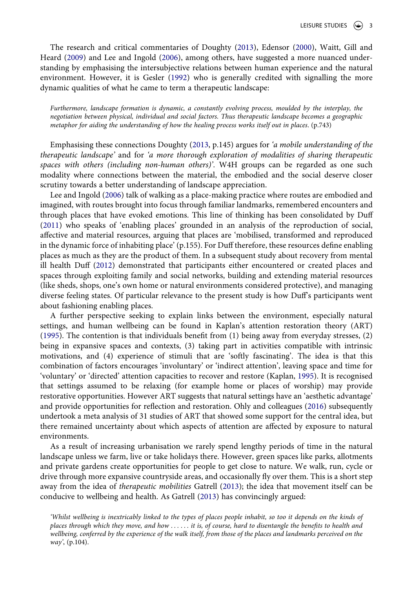<span id="page-4-3"></span>The research and critical commentaries of Doughty ([2013\)](#page-14-2), Edensor [\(2000](#page-14-7)), Waitt, Gill and Heard [\(2009](#page-16-2)) and Lee and Ingold [\(2006\)](#page-15-15), among others, have suggested a more nuanced understanding by emphasising the intersubjective relations between human experience and the natural environment. However, it is Gesler [\(1992](#page-14-8)) who is generally credited with signalling the more dynamic qualities of what he came to term a therapeutic landscape:

*Furthermore, landscape formation is dynamic, a constantly evolving process, moulded by the interplay, the negotiation between physical, individual and social factors. Thus therapeutic landscape becomes a geographic metaphor for aiding the understanding of how the healing process works itself out in places*. (p.743)

Emphasising these connections Doughty ([2013](#page-14-2), p.145) argues for *'a mobile understanding of the therapeutic landscape'* and for *'a more thorough exploration of modalities of sharing therapeutic spaces with others (including non-human others)'*. W4H groups can be regarded as one such modality where connections between the material, the embodied and the social deserve closer scrutiny towards a better understanding of landscape appreciation.

<span id="page-4-5"></span><span id="page-4-0"></span>Lee and Ingold ([2006\)](#page-15-15) talk of walking as a place-making practice where routes are embodied and imagined, with routes brought into focus through familiar landmarks, remembered encounters and through places that have evoked emotions. This line of thinking has been consolidated by Duff [\(2011\)](#page-14-9) who speaks of 'enabling places' grounded in an analysis of the reproduction of social, affective and material resources, arguing that places are 'mobilised, transformed and reproduced in the dynamic force of inhabiting place' (p.155). For Duff therefore, these resources define enabling places as much as they are the product of them. In a subsequent study about recovery from mental ill health Duff ([2012](#page-14-10)) demonstrated that participants either encountered or created places and spaces through exploiting family and social networks, building and extending material resources (like sheds, shops, one's own home or natural environments considered protective), and managing diverse feeling states. Of particular relevance to the present study is how Duff's participants went about fashioning enabling places.

<span id="page-4-4"></span><span id="page-4-1"></span>A further perspective seeking to explain links between the environment, especially natural settings, and human wellbeing can be found in Kaplan's attention restoration theory (ART) [\(1995\)](#page-15-16). The contention is that individuals benefit from (1) being away from everyday stresses, (2) being in expansive spaces and contexts, (3) taking part in activities compatible with intrinsic motivations, and (4) experience of stimuli that are 'softly fascinating'. The idea is that this combination of factors encourages 'involuntary' or 'indirect attention', leaving space and time for 'voluntary' or 'directed' attention capacities to recover and restore (Kaplan, [1995](#page-15-16)). It is recognised that settings assumed to be relaxing (for example home or places of worship) may provide restorative opportunities. However ART suggests that natural settings have an 'aesthetic advantage' and provide opportunities for reflection and restoration. Ohly and colleagues [\(2016\)](#page-15-17) subsequently undertook a meta analysis of 31 studies of ART that showed some support for the central idea, but there remained uncertainty about which aspects of attention are affected by exposure to natural environments.

<span id="page-4-6"></span>As a result of increasing urbanisation we rarely spend lengthy periods of time in the natural landscape unless we farm, live or take holidays there. However, green spaces like parks, allotments and private gardens create opportunities for people to get close to nature. We walk, run, cycle or drive through more expansive countryside areas, and occasionally fly over them. This is a short step away from the idea of *therapeutic mobilities* Gatrell [\(2013](#page-14-11)); the idea that movement itself can be conducive to wellbeing and health. As Gatrell [\(2013](#page-14-11)) has convincingly argued:

<span id="page-4-2"></span>*'Whilst wellbeing is inextricably linked to the types of places people inhabit, so too it depends on the kinds of places through which they move, and how . . . . . . it is, of course, hard to disentangle the benefits to health and*  wellbeing, conferred by the experience of the walk itself, from those of the places and landmarks perceived on the *way'*, (p.104).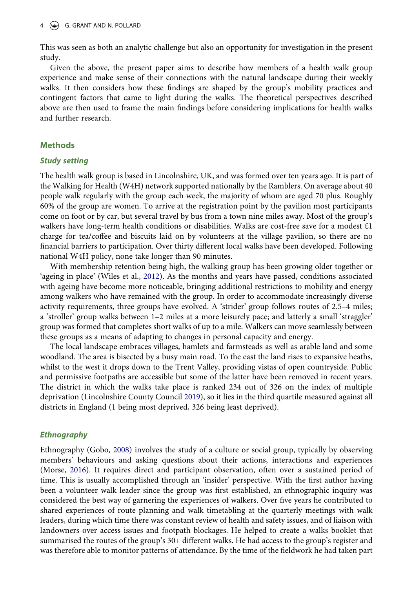This was seen as both an analytic challenge but also an opportunity for investigation in the present study.

Given the above, the present paper aims to describe how members of a health walk group experience and make sense of their connections with the natural landscape during their weekly walks. It then considers how these findings are shaped by the group's mobility practices and contingent factors that came to light during the walks. The theoretical perspectives described above are then used to frame the main findings before considering implications for health walks and further research.

#### **Methods**

#### *Study setting*

The health walk group is based in Lincolnshire, UK, and was formed over ten years ago. It is part of the Walking for Health (W4H) network supported nationally by the Ramblers. On average about 40 people walk regularly with the group each week, the majority of whom are aged 70 plus. Roughly 60% of the group are women. To arrive at the registration point by the pavilion most participants come on foot or by car, but several travel by bus from a town nine miles away. Most of the group's walkers have long-term health conditions or disabilities. Walks are cost-free save for a modest £1 charge for tea/coffee and biscuits laid on by volunteers at the village pavilion, so there are no financial barriers to participation. Over thirty different local walks have been developed. Following national W4H policy, none take longer than 90 minutes.

<span id="page-5-3"></span>With membership retention being high, the walking group has been growing older together or 'ageing in place' (Wiles et al., [2012\)](#page-16-4). As the months and years have passed, conditions associated with ageing have become more noticeable, bringing additional restrictions to mobility and energy among walkers who have remained with the group. In order to accommodate increasingly diverse activity requirements, three groups have evolved. A 'strider' group follows routes of 2.5–4 miles; a 'stroller' group walks between 1–2 miles at a more leisurely pace; and latterly a small 'straggler' group was formed that completes short walks of up to a mile. Walkers can move seamlessly between these groups as a means of adapting to changes in personal capacity and energy.

The local landscape embraces villages, hamlets and farmsteads as well as arable land and some woodland. The area is bisected by a busy main road. To the east the land rises to expansive heaths, whilst to the west it drops down to the Trent Valley, providing vistas of open countryside. Public and permissive footpaths are accessible but some of the latter have been removed in recent years. The district in which the walks take place is ranked 234 out of 326 on the index of multiple deprivation (Lincolnshire County Council [2019](#page-15-18)), so it lies in the third quartile measured against all districts in England (1 being most deprived, 326 being least deprived).

#### <span id="page-5-1"></span>*Ethnography*

<span id="page-5-2"></span><span id="page-5-0"></span>Ethnography (Gobo, [2008](#page-14-12)) involves the study of a culture or social group, typically by observing members' behaviours and asking questions about their actions, interactions and experiences (Morse, [2016\)](#page-15-19). It requires direct and participant observation, often over a sustained period of time. This is usually accomplished through an 'insider' perspective. With the first author having been a volunteer walk leader since the group was first established, an ethnographic inquiry was considered the best way of garnering the experiences of walkers. Over five years he contributed to shared experiences of route planning and walk timetabling at the quarterly meetings with walk leaders, during which time there was constant review of health and safety issues, and of liaison with landowners over access issues and footpath blockages. He helped to create a walks booklet that summarised the routes of the group's 30+ different walks. He had access to the group's register and was therefore able to monitor patterns of attendance. By the time of the fieldwork he had taken part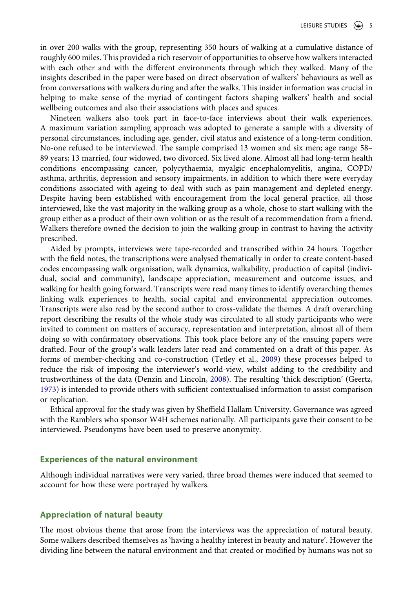in over 200 walks with the group, representing 350 hours of walking at a cumulative distance of roughly 600 miles. This provided a rich reservoir of opportunities to observe how walkers interacted with each other and with the different environments through which they walked. Many of the insights described in the paper were based on direct observation of walkers' behaviours as well as from conversations with walkers during and after the walks. This insider information was crucial in helping to make sense of the myriad of contingent factors shaping walkers' health and social wellbeing outcomes and also their associations with places and spaces.

Nineteen walkers also took part in face-to-face interviews about their walk experiences. A maximum variation sampling approach was adopted to generate a sample with a diversity of personal circumstances, including age, gender, civil status and existence of a long-term condition. No-one refused to be interviewed. The sample comprised 13 women and six men; age range 58– 89 years; 13 married, four widowed, two divorced. Six lived alone. Almost all had long-term health conditions encompassing cancer, polycythaemia, myalgic encephalomyelitis, angina, COPD/ asthma, arthritis, depression and sensory impairments, in addition to which there were everyday conditions associated with ageing to deal with such as pain management and depleted energy. Despite having been established with encouragement from the local general practice, all those interviewed, like the vast majority in the walking group as a whole, chose to start walking with the group either as a product of their own volition or as the result of a recommendation from a friend. Walkers therefore owned the decision to join the walking group in contrast to having the activity prescribed.

Aided by prompts, interviews were tape-recorded and transcribed within 24 hours. Together with the field notes, the transcriptions were analysed thematically in order to create content-based codes encompassing walk organisation, walk dynamics, walkability, production of capital (individual, social and community), landscape appreciation, measurement and outcome issues, and walking for health going forward. Transcripts were read many times to identify overarching themes linking walk experiences to health, social capital and environmental appreciation outcomes. Transcripts were also read by the second author to cross-validate the themes. A draft overarching report describing the results of the whole study was circulated to all study participants who were invited to comment on matters of accuracy, representation and interpretation, almost all of them doing so with confirmatory observations. This took place before any of the ensuing papers were drafted. Four of the group's walk leaders later read and commented on a draft of this paper. As forms of member-checking and co-construction (Tetley et al., [2009\)](#page-15-20) these processes helped to reduce the risk of imposing the interviewer's world-view, whilst adding to the credibility and trustworthiness of the data (Denzin and Lincoln, [2008](#page-14-13)). The resulting 'thick description' (Geertz, [1973](#page-14-14)) is intended to provide others with sufficient contextualised information to assist comparison or replication.

<span id="page-6-1"></span><span id="page-6-0"></span>Ethical approval for the study was given by Sheffield Hallam University. Governance was agreed with the Ramblers who sponsor W4H schemes nationally. All participants gave their consent to be interviewed. Pseudonyms have been used to preserve anonymity.

#### **Experiences of the natural environment**

Although individual narratives were very varied, three broad themes were induced that seemed to account for how these were portrayed by walkers.

#### **Appreciation of natural beauty**

The most obvious theme that arose from the interviews was the appreciation of natural beauty. Some walkers described themselves as 'having a healthy interest in beauty and nature'. However the dividing line between the natural environment and that created or modified by humans was not so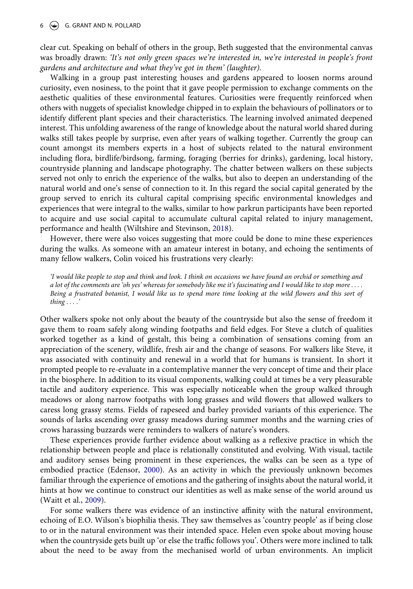#### $6 \quad \circledast$  G. GRANT AND N. POLLARD

clear cut. Speaking on behalf of others in the group, Beth suggested that the environmental canvas was broadly drawn: *'It's not only green spaces we're interested in, we're interested in people's front gardens and architecture and what they've got in them' (laughter).*

Walking in a group past interesting houses and gardens appeared to loosen norms around curiosity, even nosiness, to the point that it gave people permission to exchange comments on the aesthetic qualities of these environmental features. Curiosities were frequently reinforced when others with nuggets of specialist knowledge chipped in to explain the behaviours of pollinators or to identify different plant species and their characteristics. The learning involved animated deepened interest. This unfolding awareness of the range of knowledge about the natural world shared during walks still takes people by surprise, even after years of walking together. Currently the group can count amongst its members experts in a host of subjects related to the natural environment including flora, birdlife/birdsong, farming, foraging (berries for drinks), gardening, local history, countryside planning and landscape photography. The chatter between walkers on these subjects served not only to enrich the experience of the walks, but also to deepen an understanding of the natural world and one's sense of connection to it. In this regard the social capital generated by the group served to enrich its cultural capital comprising specific environmental knowledges and experiences that were integral to the walks, similar to how parkrun participants have been reported to acquire and use social capital to accumulate cultural capital related to injury management, performance and health (Wiltshire and Stevinson, [2018](#page-16-0)).

However, there were also voices suggesting that more could be done to mine these experiences during the walks. As someone with an amateur interest in botany, and echoing the sentiments of many fellow walkers, Colin voiced his frustrations very clearly:

*'I would like people to stop and think and look. I think on occasions we have found an orchid or something and a lot of the comments are 'oh yes' whereas for somebody like me it's fascinating and I would like to stop more . . . . Being a frustrated botanist, I would like us to spend more time looking at the wild flowers and this sort of thing . . . .'*

Other walkers spoke not only about the beauty of the countryside but also the sense of freedom it gave them to roam safely along winding footpaths and field edges. For Steve a clutch of qualities worked together as a kind of gestalt, this being a combination of sensations coming from an appreciation of the scenery, wildlife, fresh air and the change of seasons. For walkers like Steve, it was associated with continuity and renewal in a world that for humans is transient. In short it prompted people to re-evaluate in a contemplative manner the very concept of time and their place in the biosphere. In addition to its visual components, walking could at times be a very pleasurable tactile and auditory experience. This was especially noticeable when the group walked through meadows or along narrow footpaths with long grasses and wild flowers that allowed walkers to caress long grassy stems. Fields of rapeseed and barley provided variants of this experience. The sounds of larks ascending over grassy meadows during summer months and the warning cries of crows harassing buzzards were reminders to walkers of nature's wonders.

These experiences provide further evidence about walking as a reflexive practice in which the relationship between people and place is relationally constituted and evolving. With visual, tactile and auditory senses being prominent in these experiences, the walks can be seen as a type of embodied practice (Edensor, [2000\)](#page-14-7). As an activity in which the previously unknown becomes familiar through the experience of emotions and the gathering of insights about the natural world, it hints at how we continue to construct our identities as well as make sense of the world around us (Waitt et al., [2009\)](#page-16-2).

For some walkers there was evidence of an instinctive affinity with the natural environment, echoing of E.O. Wilson's biophilia thesis. They saw themselves as 'country people' as if being close to or in the natural environment was their intended space. Helen even spoke about moving house when the countryside gets built up 'or else the traffic follows you'. Others were more inclined to talk about the need to be away from the mechanised world of urban environments. An implicit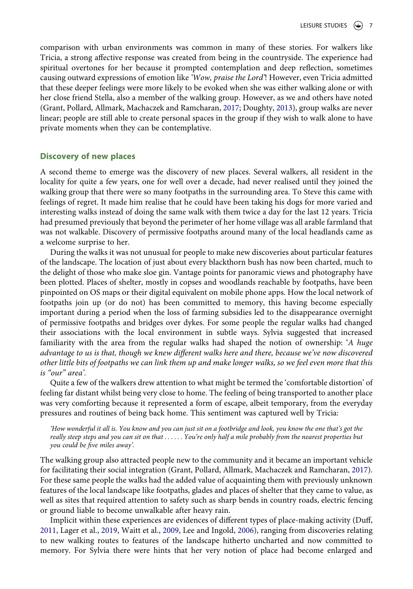comparison with urban environments was common in many of these stories. For walkers like Tricia, a strong affective response was created from being in the countryside. The experience had spiritual overtones for her because it prompted contemplation and deep reflection, sometimes causing outward expressions of emotion like *'Wow, praise the Lord'*! However, even Tricia admitted that these deeper feelings were more likely to be evoked when she was either walking alone or with her close friend Stella, also a member of the walking group. However, as we and others have noted (Grant, Pollard, Allmark, Machaczek and Ramcharan, [2017;](#page-14-3) Doughty, [2013](#page-14-2)), group walks are never linear; people are still able to create personal spaces in the group if they wish to walk alone to have private moments when they can be contemplative.

#### **Discovery of new places**

A second theme to emerge was the discovery of new places. Several walkers, all resident in the locality for quite a few years, one for well over a decade, had never realised until they joined the walking group that there were so many footpaths in the surrounding area. To Steve this came with feelings of regret. It made him realise that he could have been taking his dogs for more varied and interesting walks instead of doing the same walk with them twice a day for the last 12 years. Tricia had presumed previously that beyond the perimeter of her home village was all arable farmland that was not walkable. Discovery of permissive footpaths around many of the local headlands came as a welcome surprise to her.

During the walks it was not unusual for people to make new discoveries about particular features of the landscape. The location of just about every blackthorn bush has now been charted, much to the delight of those who make sloe gin. Vantage points for panoramic views and photography have been plotted. Places of shelter, mostly in copses and woodlands reachable by footpaths, have been pinpointed on OS maps or their digital equivalent on mobile phone apps. How the local network of footpaths join up (or do not) has been committed to memory, this having become especially important during a period when the loss of farming subsidies led to the disappearance overnight of permissive footpaths and bridges over dykes. For some people the regular walks had changed their associations with the local environment in subtle ways. Sylvia suggested that increased familiarity with the area from the regular walks had shaped the notion of ownership: '*A huge advantage to us is that, though we knew different walks here and there, because we've now discovered other little bits of footpaths we can link them up and make longer walks, so we feel even more that this is "our" area'.*

Quite a few of the walkers drew attention to what might be termed the 'comfortable distortion' of feeling far distant whilst being very close to home. The feeling of being transported to another place was very comforting because it represented a form of escape, albeit temporary, from the everyday pressures and routines of being back home. This sentiment was captured well by Tricia:

*'How wonderful it all is. You know and you can just sit on a footbridge and look, you know the one that's got the really steep steps and you can sit on that . . . . . . You're only half a mile probably from the nearest properties but you could be five miles away'.*

The walking group also attracted people new to the community and it became an important vehicle for facilitating their social integration (Grant, Pollard, Allmark, Machaczek and Ramcharan, [2017](#page-14-3)). For these same people the walks had the added value of acquainting them with previously unknown features of the local landscape like footpaths, glades and places of shelter that they came to value, as well as sites that required attention to safety such as sharp bends in country roads, electric fencing or ground liable to become unwalkable after heavy rain.

<span id="page-8-0"></span>Implicit within these experiences are evidences of different types of place-making activity (Duff, [2011](#page-14-9), Lager et al., [2019](#page-15-21), Waitt et al., [2009,](#page-16-2) Lee and Ingold, [2006](#page-15-15)), ranging from discoveries relating to new walking routes to features of the landscape hitherto uncharted and now committed to memory. For Sylvia there were hints that her very notion of place had become enlarged and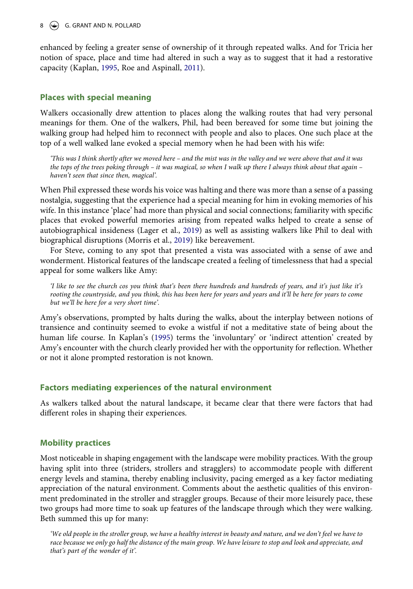enhanced by feeling a greater sense of ownership of it through repeated walks. And for Tricia her notion of space, place and time had altered in such a way as to suggest that it had a restorative capacity (Kaplan, [1995](#page-15-16), Roe and Aspinall, [2011](#page-15-10)).

### **Places with special meaning**

Walkers occasionally drew attention to places along the walking routes that had very personal meanings for them. One of the walkers, Phil, had been bereaved for some time but joining the walking group had helped him to reconnect with people and also to places. One such place at the top of a well walked lane evoked a special memory when he had been with his wife:

*'This was I think shortly after we moved here – and the mist was in the valley and we were above that and it was the tops of the trees poking through – it was magical, so when I walk up there I always think about that again – haven't seen that since then, magical'.*

When Phil expressed these words his voice was halting and there was more than a sense of a passing nostalgia, suggesting that the experience had a special meaning for him in evoking memories of his wife. In this instance 'place' had more than physical and social connections; familiarity with specific places that evoked powerful memories arising from repeated walks helped to create a sense of autobiographical insideness (Lager et al., [2019\)](#page-15-21) as well as assisting walkers like Phil to deal with biographical disruptions (Morris et al., [2019](#page-15-22)) like bereavement.

<span id="page-9-0"></span>For Steve, coming to any spot that presented a vista was associated with a sense of awe and wonderment. Historical features of the landscape created a feeling of timelessness that had a special appeal for some walkers like Amy:

*I like to see the church cos you think that's been there hundreds and hundreds of years, and it's just like it's rooting the countryside, and you think, this has been here for years and years and it'll be here for years to come but we'll be here for a very short time'.*

Amy's observations, prompted by halts during the walks, about the interplay between notions of transience and continuity seemed to evoke a wistful if not a meditative state of being about the human life course. In Kaplan's [\(1995](#page-15-16)) terms the 'involuntary' or 'indirect attention' created by Amy's encounter with the church clearly provided her with the opportunity for reflection. Whether or not it alone prompted restoration is not known.

#### **Factors mediating experiences of the natural environment**

As walkers talked about the natural landscape, it became clear that there were factors that had different roles in shaping their experiences.

## **Mobility practices**

Most noticeable in shaping engagement with the landscape were mobility practices. With the group having split into three (striders, strollers and stragglers) to accommodate people with different energy levels and stamina, thereby enabling inclusivity, pacing emerged as a key factor mediating appreciation of the natural environment. Comments about the aesthetic qualities of this environment predominated in the stroller and straggler groups. Because of their more leisurely pace, these two groups had more time to soak up features of the landscape through which they were walking. Beth summed this up for many:

*'We old people in the stroller group, we have a healthy interest in beauty and nature, and we don't feel we have to race because we only go half the distance of the main group. We have leisure to stop and look and appreciate, and that's part of the wonder of it'.*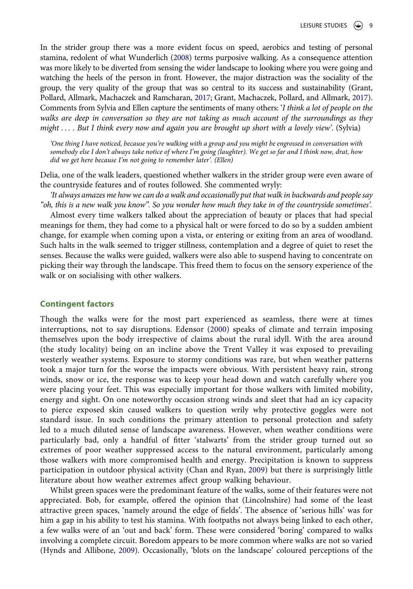<span id="page-10-2"></span>In the strider group there was a more evident focus on speed, aerobics and testing of personal stamina, redolent of what Wunderlich [\(2008\)](#page-16-5) terms purposive walking. As a consequence attention was more likely to be diverted from sensing the wider landscape to looking where you were going and watching the heels of the person in front. However, the major distraction was the sociality of the group, the very quality of the group that was so central to its success and sustainability (Grant, Pollard, Allmark, Machaczek and Ramcharan, [2017](#page-14-3); Grant, Machaczek, Pollard, and Allmark, [2017\)](#page-14-4). Comments from Sylvia and Ellen capture the sentiments of many others: '*I think a lot of people on the walks are deep in conversation so they are not taking as much account of the surroundings as they might . . . . But I think every now and again you are brought up short with a lovely view'*. (Sylvia)

*'One thing I have noticed, because you're walking with a group and you might be engrossed in conversation with somebody else I don't always take notice of where I'm going (laughter). We get so far and I think now, drat, how did we get here because I'm not going to remember later'. (Ellen)*

Delia, one of the walk leaders, questioned whether walkers in the strider group were even aware of the countryside features and of routes followed. She commented wryly:

*'It always amazes me how we can do a walk and occasionally put that walk in backwards and people say "oh, this is a new walk you know". So you wonder how much they take in of the countryside sometimes'.*

Almost every time walkers talked about the appreciation of beauty or places that had special meanings for them, they had come to a physical halt or were forced to do so by a sudden ambient change, for example when coming upon a vista, or entering or exiting from an area of woodland. Such halts in the walk seemed to trigger stillness, contemplation and a degree of quiet to reset the senses. Because the walks were guided, walkers were also able to suspend having to concentrate on picking their way through the landscape. This freed them to focus on the sensory experience of the walk or on socialising with other walkers.

#### **Contingent factors**

Though the walks were for the most part experienced as seamless, there were at times interruptions, not to say disruptions. Edensor [\(2000\)](#page-14-7) speaks of climate and terrain imposing themselves upon the body irrespective of claims about the rural idyll. With the area around (the study locality) being on an incline above the Trent Valley it was exposed to prevailing westerly weather systems. Exposure to stormy conditions was rare, but when weather patterns took a major turn for the worse the impacts were obvious. With persistent heavy rain, strong winds, snow or ice, the response was to keep your head down and watch carefully where you were placing your feet. This was especially important for those walkers with limited mobility, energy and sight. On one noteworthy occasion strong winds and sleet that had an icy capacity to pierce exposed skin caused walkers to question wrily why protective goggles were not standard issue. In such conditions the primary attention to personal protection and safety led to a much diluted sense of landscape awareness. However, when weather conditions were particularly bad, only a handful of fitter 'stalwarts' from the strider group turned out so extremes of poor weather suppressed access to the natural environment, particularly among those walkers with more compromised health and energy. Precipitation is known to suppress participation in outdoor physical activity (Chan and Ryan, [2009](#page-14-15)) but there is surprisingly little literature about how weather extremes affect group walking behaviour.

<span id="page-10-1"></span><span id="page-10-0"></span>Whilst green spaces were the predominant feature of the walks, some of their features were not appreciated. Bob, for example, offered the opinion that (Lincolnshire) had some of the least attractive green spaces, 'namely around the edge of fields'. The absence of 'serious hills' was for him a gap in his ability to test his stamina. With footpaths not always being linked to each other, a few walks were of an 'out and back' form. These were considered 'boring' compared to walks involving a complete circuit. Boredom appears to be more common where walks are not so varied (Hynds and Allibone, [2009](#page-15-23)). Occasionally, 'blots on the landscape' coloured perceptions of the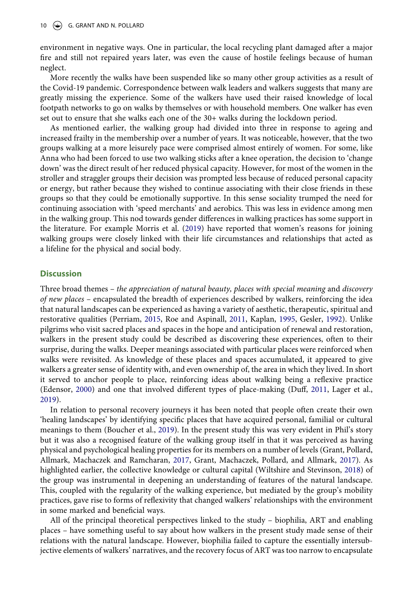environment in negative ways. One in particular, the local recycling plant damaged after a major fire and still not repaired years later, was even the cause of hostile feelings because of human neglect.

More recently the walks have been suspended like so many other group activities as a result of the Covid-19 pandemic. Correspondence between walk leaders and walkers suggests that many are greatly missing the experience. Some of the walkers have used their raised knowledge of local footpath networks to go on walks by themselves or with household members. One walker has even set out to ensure that she walks each one of the 30+ walks during the lockdown period.

As mentioned earlier, the walking group had divided into three in response to ageing and increased frailty in the membership over a number of years. It was noticeable, however, that the two groups walking at a more leisurely pace were comprised almost entirely of women. For some, like Anna who had been forced to use two walking sticks after a knee operation, the decision to 'change down' was the direct result of her reduced physical capacity. However, for most of the women in the stroller and straggler groups their decision was prompted less because of reduced personal capacity or energy, but rather because they wished to continue associating with their close friends in these groups so that they could be emotionally supportive. In this sense sociality trumped the need for continuing association with 'speed merchants' and aerobics. This was less in evidence among men in the walking group. This nod towards gender differences in walking practices has some support in the literature. For example Morris et al. [\(2019](#page-15-22)) have reported that women's reasons for joining walking groups were closely linked with their life circumstances and relationships that acted as a lifeline for the physical and social body.

#### **Discussion**

<span id="page-11-1"></span>Three broad themes – *the appreciation of natural beauty, places with special meaning* and *discovery of new places* – encapsulated the breadth of experiences described by walkers, reinforcing the idea that natural landscapes can be experienced as having a variety of aesthetic, therapeutic, spiritual and restorative qualities (Perriam, [2015,](#page-15-24) Roe and Aspinall, [2011](#page-15-10), Kaplan, [1995,](#page-15-16) Gesler, [1992\)](#page-14-8). Unlike pilgrims who visit sacred places and spaces in the hope and anticipation of renewal and restoration, walkers in the present study could be described as discovering these experiences, often to their surprise, during the walks. Deeper meanings associated with particular places were reinforced when walks were revisited. As knowledge of these places and spaces accumulated, it appeared to give walkers a greater sense of identity with, and even ownership of, the area in which they lived. In short it served to anchor people to place, reinforcing ideas about walking being a reflexive practice (Edensor, [2000\)](#page-14-7) and one that involved different types of place-making (Duff, [2011,](#page-14-9) Lager et al., [2019](#page-15-21)).

<span id="page-11-0"></span>In relation to personal recovery journeys it has been noted that people often create their own 'healing landscapes' by identifying specific places that have acquired personal, familial or cultural meanings to them (Boucher et al., [2019](#page-14-16)). In the present study this was very evident in Phil's story but it was also a recognised feature of the walking group itself in that it was perceived as having physical and psychological healing properties for its members on a number of levels (Grant, Pollard, Allmark, Machaczek and Ramcharan, [2017](#page-14-3), Grant, Machaczek, Pollard, and Allmark, [2017](#page-14-4)). As highlighted earlier, the collective knowledge or cultural capital (Wiltshire and Stevinson, [2018\)](#page-16-0) of the group was instrumental in deepening an understanding of features of the natural landscape. This, coupled with the regularity of the walking experience, but mediated by the group's mobility practices, gave rise to forms of reflexivity that changed walkers' relationships with the environment in some marked and beneficial ways.

All of the principal theoretical perspectives linked to the study – biophilia, ART and enabling places – have something useful to say about how walkers in the present study made sense of their relations with the natural landscape. However, biophilia failed to capture the essentially intersubjective elements of walkers' narratives, and the recovery focus of ART was too narrow to encapsulate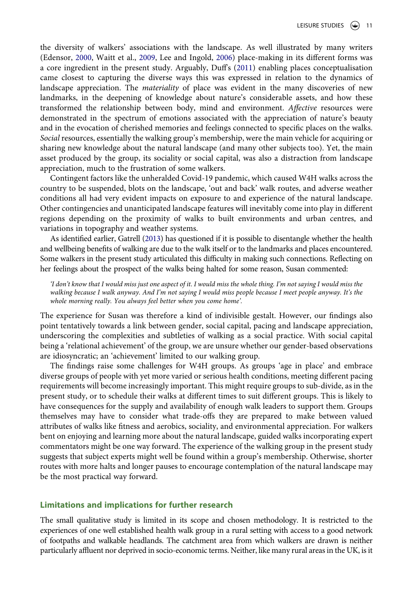the diversity of walkers' associations with the landscape. As well illustrated by many writers (Edensor, [2000](#page-14-7), Waitt et al., [2009](#page-16-2), Lee and Ingold, [2006\)](#page-15-15) place-making in its different forms was a core ingredient in the present study. Arguably, Duff's ([2011\)](#page-14-9) enabling places conceptualisation came closest to capturing the diverse ways this was expressed in relation to the dynamics of landscape appreciation. The *materiality* of place was evident in the many discoveries of new landmarks, in the deepening of knowledge about nature's considerable assets, and how these transformed the relationship between body, mind and environment. *Affective* resources were demonstrated in the spectrum of emotions associated with the appreciation of nature's beauty and in the evocation of cherished memories and feelings connected to specific places on the walks. *Social* resources, essentially the walking group's membership, were the main vehicle for acquiring or sharing new knowledge about the natural landscape (and many other subjects too). Yet, the main asset produced by the group, its sociality or social capital, was also a distraction from landscape appreciation, much to the frustration of some walkers.

Contingent factors like the unheralded Covid-19 pandemic, which caused W4H walks across the country to be suspended, blots on the landscape, 'out and back' walk routes, and adverse weather conditions all had very evident impacts on exposure to and experience of the natural landscape. Other contingencies and unanticipated landscape features will inevitably come into play in different regions depending on the proximity of walks to built environments and urban centres, and variations in topography and weather systems.

As identified earlier, Gatrell [\(2013\)](#page-14-11) has questioned if it is possible to disentangle whether the health and wellbeing benefits of walking are due to the walk itself or to the landmarks and places encountered. Some walkers in the present study articulated this difficulty in making such connections. Reflecting on her feelings about the prospect of the walks being halted for some reason, Susan commented:

*'I don't know that I would miss just one aspect of it. I would miss the whole thing. I'm not saying I would miss the walking because I walk anyway. And I'm not saying I would miss people because I meet people anyway. It's the whole morning really. You always feel better when you come home'.*

The experience for Susan was therefore a kind of indivisible gestalt. However, our findings also point tentatively towards a link between gender, social capital, pacing and landscape appreciation, underscoring the complexities and subtleties of walking as a social practice. With social capital being a 'relational achievement' of the group, we are unsure whether our gender-based observations are idiosyncratic; an 'achievement' limited to our walking group.

The findings raise some challenges for W4H groups. As groups 'age in place' and embrace diverse groups of people with yet more varied or serious health conditions, meeting different pacing requirements will become increasingly important. This might require groups to sub-divide, as in the present study, or to schedule their walks at different times to suit different groups. This is likely to have consequences for the supply and availability of enough walk leaders to support them. Groups themselves may have to consider what trade-offs they are prepared to make between valued attributes of walks like fitness and aerobics, sociality, and environmental appreciation. For walkers bent on enjoying and learning more about the natural landscape, guided walks incorporating expert commentators might be one way forward. The experience of the walking group in the present study suggests that subject experts might well be found within a group's membership. Otherwise, shorter routes with more halts and longer pauses to encourage contemplation of the natural landscape may be the most practical way forward.

### **Limitations and implications for further research**

The small qualitative study is limited in its scope and chosen methodology. It is restricted to the experiences of one well established health walk group in a rural setting with access to a good network of footpaths and walkable headlands. The catchment area from which walkers are drawn is neither particularly affluent nor deprived in socio-economic terms. Neither, like many rural areas in the UK, is it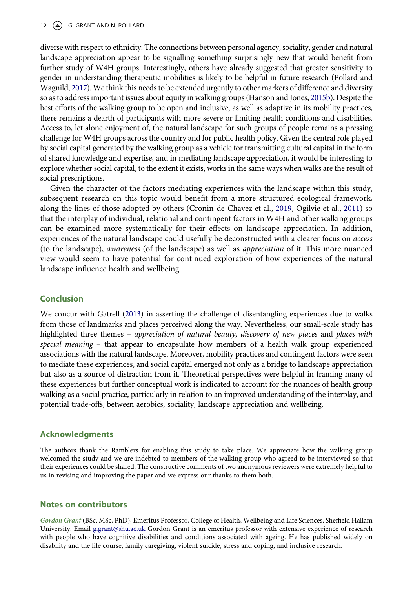#### 12 G. GRANT AND N. POLLARD

<span id="page-13-2"></span><span id="page-13-1"></span>diverse with respect to ethnicity. The connections between personal agency, sociality, gender and natural landscape appreciation appear to be signalling something surprisingly new that would benefit from further study of W4H groups. Interestingly, others have already suggested that greater sensitivity to gender in understanding therapeutic mobilities is likely to be helpful in future research (Pollard and Wagnild, [2017\)](#page-15-25). We think this needs to be extended urgently to other markers of difference and diversity so as to address important issues about equity in walking groups (Hanson and Jones, [2015b\)](#page-15-26). Despite the best efforts of the walking group to be open and inclusive, as well as adaptive in its mobility practices, there remains a dearth of participants with more severe or limiting health conditions and disabilities. Access to, let alone enjoyment of, the natural landscape for such groups of people remains a pressing challenge for W4H groups across the country and for public health policy. Given the central role played by social capital generated by the walking group as a vehicle for transmitting cultural capital in the form of shared knowledge and expertise, and in mediating landscape appreciation, it would be interesting to explore whether social capital, to the extent it exists, works in the same ways when walks are the result of social prescriptions.

<span id="page-13-0"></span>Given the character of the factors mediating experiences with the landscape within this study, subsequent research on this topic would benefit from a more structured ecological framework, along the lines of those adopted by others (Cronin-de-Chavez et al., [2019,](#page-14-17) Ogilvie et al., [2011\)](#page-15-27) so that the interplay of individual, relational and contingent factors in W4H and other walking groups can be examined more systematically for their effects on landscape appreciation. In addition, experiences of the natural landscape could usefully be deconstructed with a clearer focus on *access*  (to the landscape), *awareness* (of the landscape) as well as *appreciation* of it. This more nuanced view would seem to have potential for continued exploration of how experiences of the natural landscape influence health and wellbeing.

#### **Conclusion**

We concur with Gatrell ([2013](#page-14-11)) in asserting the challenge of disentangling experiences due to walks from those of landmarks and places perceived along the way. Nevertheless, our small-scale study has highlighted three themes – *appreciation of natural beauty, discovery of new places* and *places with special meaning* – that appear to encapsulate how members of a health walk group experienced associations with the natural landscape. Moreover, mobility practices and contingent factors were seen to mediate these experiences, and social capital emerged not only as a bridge to landscape appreciation but also as a source of distraction from it. Theoretical perspectives were helpful in framing many of these experiences but further conceptual work is indicated to account for the nuances of health group walking as a social practice, particularly in relation to an improved understanding of the interplay, and potential trade-offs, between aerobics, sociality, landscape appreciation and wellbeing.

#### **Acknowledgments**

The authors thank the Ramblers for enabling this study to take place. We appreciate how the walking group welcomed the study and we are indebted to members of the walking group who agreed to be interviewed so that their experiences could be shared. The constructive comments of two anonymous reviewers were extremely helpful to us in revising and improving the paper and we express our thanks to them both.

#### **Notes on contributors**

*Gordon Grant* (BSc, MSc, PhD), Emeritus Professor, College of Health, Wellbeing and Life Sciences, Sheffield Hallam University. Email g.grant@shu.ac.uk Gordon Grant is an emeritus professor with extensive experience of research with people who have cognitive disabilities and conditions associated with ageing. He has published widely on disability and the life course, family caregiving, violent suicide, stress and coping, and inclusive research.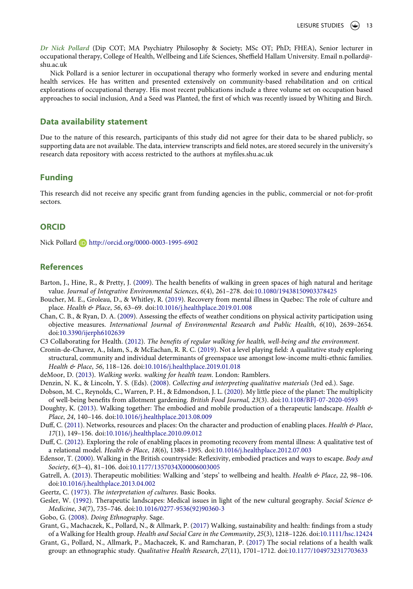*Dr Nick Pollard* (Dip COT; MA Psychiatry Philosophy & Society; MSc OT; PhD; FHEA), Senior lecturer in occupational therapy, College of Health, Wellbeing and Life Sciences, Sheffield Hallam University. Email n.pollard@ shu.ac.uk

Nick Pollard is a senior lecturer in occupational therapy who formerly worked in severe and enduring mental health services. He has written and presented extensively on community-based rehabilitation and on critical explorations of occupational therapy. His most recent publications include a three volume set on occupation based approaches to social inclusion, And a Seed was Planted, the first of which was recently issued by Whiting and Birch.

#### **Data availability statement**

Due to the nature of this research, participants of this study did not agree for their data to be shared publicly, so supporting data are not available. The data, interview transcripts and field notes, are stored securely in the university's research data repository with access restricted to the authors at myfiles.shu.ac.uk

#### **Funding**

This research did not receive any specific grant from funding agencies in the public, commercial or not-for-profit sectors.

### **ORCID**

Nick Pollard **b** http://orcid.org/0000-0003-1995-6902

#### **References**

- <span id="page-14-6"></span>Barton, J., Hine, R., & Pretty, J. [\(2009](#page-3-0)). The health benefits of walking in green spaces of high natural and heritage value. *Journal of Integrative Environmental Sciences*, *6*(4), 261–278. doi:[10.1080/19438150903378425](https://doi.org/10.1080/19438150903378425)
- <span id="page-14-16"></span>Boucher, M. E., Groleau, D., & Whitley, R. [\(2019\)](#page-11-0). Recovery from mental illness in Quebec: The role of culture and place. *Health & Place*, *56*, 63–69. doi:[10.1016/j.healthplace.2019.01.008](https://doi.org/10.1016/j.healthplace.2019.01.008)
- <span id="page-14-15"></span>Chan, C. B., & Ryan, D. A. [\(2009](#page-10-0)). Assessing the effects of weather conditions on physical activity participation using objective measures. *International Journal of Environmental Research and Public Health*, *6*(10), 2639–2654. doi:[10.3390/ijerph6102639](https://doi.org/10.3390/ijerph6102639)
- <span id="page-14-0"></span>C3 Collaborating for Health. [\(2012\)](#page-2-0). *The benefits of regular walking for health, well-being and the environment*.
- <span id="page-14-17"></span>Cronin-de-Chavez, A., Islam, S., & McEachan, R. R. C. [\(2019\)](#page-13-0). Not a level playing field: A qualitative study exploring structural, community and individual determinants of greenspace use amongst low-income multi-ethnic families. *Health & Place*, *56*, 118–126. doi:[10.1016/j.healthplace.2019.01.018](https://doi.org/10.1016/j.healthplace.2019.01.018)
- <span id="page-14-1"></span>deMoor, D. [\(2013\)](#page-2-0). *Walking works. walking for health team*. London: Ramblers.
- <span id="page-14-13"></span>Denzin, N. K., & Lincoln, Y. S. (Eds). ([2008\)](#page-6-0). *Collecting and interpreting qualitative materials* (3rd ed.). Sage.
- <span id="page-14-5"></span>Dobson, M. C., Reynolds, C., Warren, P. H., & Edmondson, J. L. ([2020](#page-3-1)). My little piece of the planet: The multiplicity of well-being benefits from allotment gardening. *British Food Journal, 23*(3). doi:[10.1108/BFJ-07-2020-0593](https://doi.org/10.1108/BFJ-07-2020-0593)
- <span id="page-14-2"></span>Doughty, K. ([2013\)](#page-2-1). Walking together: The embodied and mobile production of a therapeutic landscape. *Health & Place*, *24*, 140–146. doi:[10.1016/j.healthplace.2013.08.009](https://doi.org/10.1016/j.healthplace.2013.08.009)
- <span id="page-14-9"></span>Duff, C. ([2011](#page-4-0)). Networks, resources and places: On the character and production of enabling places. *Health & Place*, *17*(1), 149–156. doi:[10.1016/j.healthplace.2010.09.012](https://doi.org/10.1016/j.healthplace.2010.09.012)
- <span id="page-14-10"></span>Duff, C. [\(2012](#page-4-1)). Exploring the role of enabling places in promoting recovery from mental illness: A qualitative test of a relational model. *Health & Place*, *18*(6), 1388–1395. doi:[10.1016/j.healthplace.2012.07.003](https://doi.org/10.1016/j.healthplace.2012.07.003)
- <span id="page-14-7"></span>Edensor, T. [\(2000](#page-3-2)). Walking in the British countryside: Reflexivity, embodied practices and ways to escape. *Body and Society*, *6*(3–4), 81–106. doi:[10.1177/1357034X00006003005](https://doi.org/10.1177/1357034X00006003005)
- <span id="page-14-11"></span>Gatrell, A. [\(2013](#page-4-2)). Therapeutic mobilities: Walking and 'steps' to wellbeing and health. *Health & Place*, *22*, 98–106. doi:[10.1016/j.healthplace.2013.04.002](https://doi.org/10.1016/j.healthplace.2013.04.002)
- <span id="page-14-14"></span>Geertz, C. ([1973](#page-6-0)). *The interpretation of cultures*. Basic Books.
- <span id="page-14-8"></span>Gesler, W. [\(1992\)](#page-4-3). Therapeutic landscapes: Medical issues in light of the new cultural geography. *Social Science & Medicine*, *34*(7), 735–746. doi:[10.1016/0277-9536\(92\)90360-3](https://doi.org/10.1016/0277-9536(92)90360-3)
- <span id="page-14-12"></span>Gobo, G. ([2008](#page-5-0)). *Doing Ethnography*. Sage.
- <span id="page-14-4"></span>Grant, G., Machaczek, K., Pollard, N., & Allmark, P. ([2017\)](#page-3-3) Walking, sustainability and health: findings from a study of a Walking for Health group. *Health and Social Care in the Community*, *25*(3), 1218–1226. doi:[10.1111/hsc.12424](https://doi.org/10.1111/hsc.12424)
- <span id="page-14-3"></span>Grant, G., Pollard, N., Allmark, P., Machaczek, K. and Ramcharan, P. [\(2017\)](#page-3-3) The social relations of a health walk group: an ethnographic study. *Qualitative Health Research*, *27*(11), 1701–1712. doi:[10.1177/1049732317703633](https://doi.org/10.1177/1049732317703633)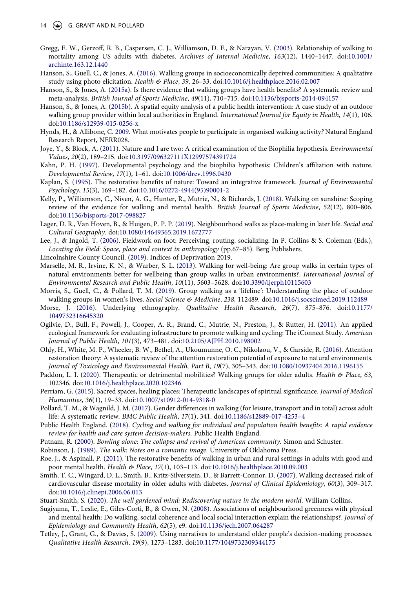- <span id="page-15-3"></span>Gregg, E. W., Gerzoff, R. B., Caspersen, C. J., Williamson, D. F., & Narayan, V. ([2003](#page-2-2)). Relationship of walking to mortality among US adults with diabetes. *Archives of Internal Medicine*, *163*(12), 1440–1447. doi:[10.1001/](https://doi.org/10.1001/archinte.163.12.1440) [archinte.163.12.1440](https://doi.org/10.1001/archinte.163.12.1440)
- <span id="page-15-7"></span>Hanson, S., Guell, C., & Jones, A. [\(2016\)](#page-3-4). Walking groups in socioeconomically deprived communities: A qualitative study using photo elicitation. *Health & Place*, *39*, 26–33. doi:[10.1016/j.healthplace.2016.02.007](https://doi.org/10.1016/j.healthplace.2016.02.007)
- <span id="page-15-2"></span>Hanson, S., & Jones, A. ([2015a\)](#page-2-3). Is there evidence that walking groups have health benefits? A systematic review and meta-analysis. *British Journal of Sports Medicine*, *49*(11), 710–715. doi:[10.1136/bjsports-2014-094157](https://doi.org/10.1136/bjsports-2014-094157)
- <span id="page-15-26"></span>Hanson, S., & Jones, A. ([2015b](#page-13-1)). A spatial equity analysis of a public health intervention: A case study of an outdoor walking group provider within local authorities in England. *International Journal for Equity in Health*, *14*(1), 106. doi:[10.1186/s12939-015-0256-x](https://doi.org/10.1186/s12939-015-0256-x)
- <span id="page-15-23"></span>Hynds, H., & Allibone, C. [2009.](#page-10-1) What motivates people to participate in organised walking activity*?* Natural England Research Report, NERR028.
- <span id="page-15-14"></span>Joye, Y., & Block, A. [\(2011\)](#page-3-5). Nature and I are two: A critical examination of the Biophilia hypothesis. *Environmental Values*, *20*(2), 189–215. doi:[10.3197/096327111X12997574391724](https://doi.org/10.3197/096327111X12997574391724)
- <span id="page-15-13"></span>Kahn, P. H. ([1997\)](#page-3-6). Developmental psychology and the biophilia hypothesis: Children's affiliation with nature. *Developmental Review*, *17*(1), 1–61. doi:[10.1006/drev.1996.0430](https://doi.org/10.1006/drev.1996.0430)
- <span id="page-15-16"></span>Kaplan, S. [\(1995](#page-4-4)). The restorative benefits of nature: Toward an integrative framework. *Journal of Environmental Psychology*, *15*(3), 169–182. doi:[10.1016/0272-4944\(95\)90001-2](https://doi.org/10.1016/0272-4944(95)90001-2)
- <span id="page-15-1"></span>Kelly, P., Williamson, C., Niven, A. G., Hunter, R., Mutrie, N., & Richards, J. [\(2018](#page-2-0)). Walking on sunshine: Scoping review of the evidence for walking and mental health. *British Journal of Sports Medicine*, *52*(12), 800–806. doi:[10.1136/bjsports-2017-098827](https://doi.org/10.1136/bjsports-2017-098827)
- <span id="page-15-21"></span>Lager, D. R., Van Hoven, B., & Huigen, P. P. P. [\(2019\)](#page-8-0). Neighbourhood walks as place-making in later life. *Social and Cultural Geography*. doi:[10.1080/14649365.2019.1672777](https://doi.org/10.1080/14649365.2019.1672777)
- <span id="page-15-15"></span>Lee, J., & Ingold, T. ([2006\)](#page-4-5). Fieldwork on foot: Perceiving, routing, socializing. In P. Collins & S. Coleman (Eds.), *Locating the Field: Space, place and context in anthropology* (pp.67–85). Berg Publishers.
- <span id="page-15-18"></span>Lincolnshire County Council. ([2019](#page-5-1)). Indices of Deprivation 2019.
- <span id="page-15-9"></span>Marselle, M. R., Irvine, K. N., & Warber, S. L. ([2013](#page-3-7)). Walking for well-being: Are group walks in certain types of natural environments better for wellbeing than group walks in urban environments?. *International Journal of Environmental Research and Public Health*, *10*(11), 5603–5628. doi:[10.3390/ijerph10115603](https://doi.org/10.3390/ijerph10115603)
- <span id="page-15-22"></span>Morris, S., Guell, C., & Pollard, T. M. [\(2019](#page-9-0)). Group walking as a 'lifeline': Understanding the place of outdoor walking groups in women's lives. *Social Science & Medicine*, *238*, 112489. doi:[10.1016/j.socscimed.2019.112489](https://doi.org/10.1016/j.socscimed.2019.112489)
- <span id="page-15-19"></span>Morse, J. [\(2016\)](#page-5-2). Underlying ethnography. *Qualitative Health Research*, *26*(7), 875–876. doi:[10.1177/](https://doi.org/10.1177/1049732316645320) [1049732316645320](https://doi.org/10.1177/1049732316645320)
- <span id="page-15-27"></span>Ogilvie, D., Bull, F., Powell, J., Cooper, A. R., Brand, C., Mutrie, N., Preston, J., & Rutter, H. [\(2011\)](#page-13-0). An applied ecological framework for evaluating infrastructure to promote walking and cycling: The iConnect Study. *American Journal of Public Health*, *101*(3), 473–481. doi:[10.2105/AJPH.2010.198002](https://doi.org/10.2105/AJPH.2010.198002)
- <span id="page-15-17"></span>Ohly, H., White, M. P., Wheeler, B. W., Bethel, A., Ukoumunne, O. C., Nikolaou, V., & Garside, R. ([2016](#page-4-6)). Attention restoration theory: A systematic review of the attention restoration potential of exposure to natural environments. *Journal of Toxicology and Environmental Health, Part B*, *19*(7), 305–343. doi:[10.1080/10937404.2016.1196155](https://doi.org/10.1080/10937404.2016.1196155)
- <span id="page-15-6"></span>Paddon, L. I. [\(2020\)](#page-3-4). Therapeutic or detrimental mobilities? Walking groups for older adults. *Health & Place*, *63*, 102346. doi:[10.1016/j.healthplace.2020.102346](https://doi.org/10.1016/j.healthplace.2020.102346)
- <span id="page-15-24"></span>Perriam, G. ([2015\)](#page-11-1). Sacred spaces, healing places: Therapeutic landscapes of spiritual significance. *Journal of Medical Humanities*, *36*(1), 19–33. doi:[10.1007/s10912-014-9318-0](https://doi.org/10.1007/s10912-014-9318-0)
- <span id="page-15-25"></span>Pollard, T. M., & Wagnild, J. M. ([2017\)](#page-13-2). Gender differences in walking (for leisure, transport and in total) across adult life: A systematic review. *BMC Public Health*, *17*(1), 341. doi:[10.1186/s12889-017-4253–4](https://doi.org/10.1186/s12889-017-4253%20134)
- <span id="page-15-0"></span>Public Health England. [\(2018](#page-2-4)). *Cycling and walking for individual and population health benefits: A rapid evidence review for health and care system decision-makers*. Public Health England.
- <span id="page-15-5"></span>Putnam, R. [\(2000](#page-3-8)). *Bowling alone: The collapse and revival of American community*. Simon and Schuster.
- <span id="page-15-12"></span>Robinson, J. [\(1989\)](#page-3-9). *The walk*: *Notes on a romantic image*. University of Oklahoma Press.
- <span id="page-15-10"></span>Roe, J., & Aspinall, P. ([2011\)](#page-3-7). The restorative benefits of walking in urban and rural settings in adults with good and poor mental health. *Health & Place*, *17*(1), 103–113. doi:[10.1016/j.healthplace.2010.09.003](https://doi.org/10.1016/j.healthplace.2010.09.003)
- <span id="page-15-4"></span>Smith, T. C., Wingard, D. L., Smith, B., Kritz-Silverstein, D., & Barrett-Connor, D. ([2007](#page-2-2)). Walking decreased risk of cardiovascular disease mortality in older adults with diabetes. *Journal of Clinical Epidemiology*, *60*(3), 309–317. doi:[10.1016/j.clinepi.2006.06.013](https://doi.org/10.1016/j.clinepi.2006.06.013)
- <span id="page-15-11"></span>Stuart-Smith, S. ([2020\)](#page-3-1). *The well gardened mind: Rediscovering nature in the modern world*. William Collins.
- <span id="page-15-8"></span>Sugiyama, T., Leslie, E., Giles-Corti, B., & Owen, N. [\(2008](#page-3-0)). Associations of neighbourhood greenness with physical and mental health: Do walking, social coherence and local social interaction explain the relationships?. *Journal of Epidemiology and Community Health*, *62*(5), e9. doi:[10.1136/jech.2007.064287](https://doi.org/10.1136/jech.2007.064287)
- <span id="page-15-20"></span>Tetley, J., Grant, G., & Davies, S. [\(2009\)](#page-6-1). Using narratives to understand older people's decision-making processes. *Qualitative Health Research*, *19*(9), 1273–1283. doi:[10.1177/1049732309344175](https://doi.org/10.1177/1049732309344175)